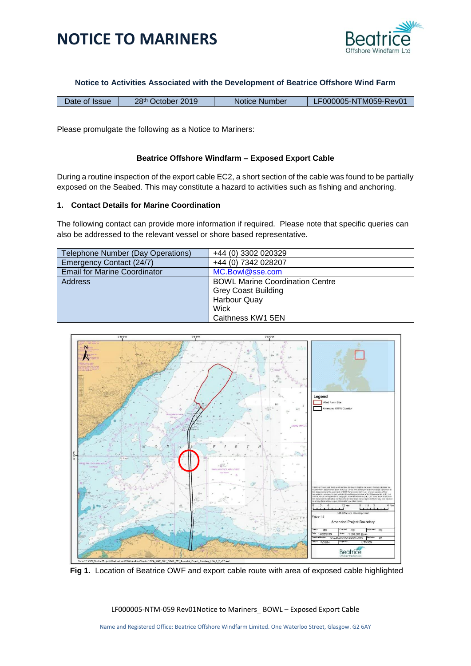



**Notice to Activities Associated with the Development of Beatrice Offshore Wind Farm**

| Date of Issue | 28 <sup>th</sup> October 2019 | Notice Number | LF000005-NTM059-Rev01 |
|---------------|-------------------------------|---------------|-----------------------|
|---------------|-------------------------------|---------------|-----------------------|

Please promulgate the following as a Notice to Mariners:

#### **Beatrice Offshore Windfarm – Exposed Export Cable**

During a routine inspection of the export cable EC2, a short section of the cable was found to be partially exposed on the Seabed. This may constitute a hazard to activities such as fishing and anchoring.

#### **1. Contact Details for Marine Coordination**

The following contact can provide more information if required. Please note that specific queries can also be addressed to the relevant vessel or shore based representative.

| Telephone Number (Day Operations)   | +44 (0) 3302 020329                    |  |
|-------------------------------------|----------------------------------------|--|
| Emergency Contact (24/7)            | +44 (0) 7342 028207                    |  |
| <b>Email for Marine Coordinator</b> | MC.Bowl@sse.com                        |  |
| Address                             | <b>BOWL Marine Coordination Centre</b> |  |
|                                     | <b>Grey Coast Building</b>             |  |
|                                     | Harbour Quay                           |  |
|                                     | Wick                                   |  |
|                                     | Caithness KW1 5EN                      |  |



 **Fig 1.** Location of Beatrice OWF and export cable route with area of exposed cable highlighted

LF000005-NTM-059 Rev01Notice to Mariners\_ BOWL – Exposed Export Cable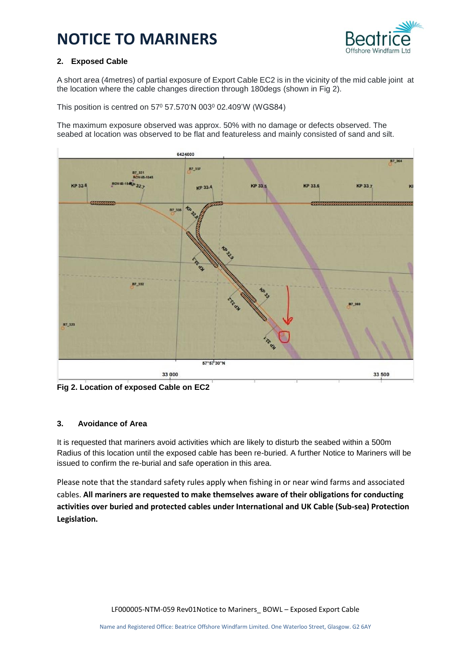# **NOTICE TO MARINERS**



### **2. Exposed Cable**

A short area (4metres) of partial exposure of Export Cable EC2 is in the vicinity of the mid cable joint at the location where the cable changes direction through 180degs (shown in Fig 2).

This position is centred on 57<sup>0</sup> 57.570'N 003<sup>0</sup> 02.409'W (WGS84)

The maximum exposure observed was approx. 50% with no damage or defects observed. The seabed at location was observed to be flat and featureless and mainly consisted of sand and silt.



**Fig 2. Location of exposed Cable on EC2**

#### **3. Avoidance of Area**

It is requested that mariners avoid activities which are likely to disturb the seabed within a 500m Radius of this location until the exposed cable has been re-buried. A further Notice to Mariners will be issued to confirm the re-burial and safe operation in this area.

Please note that the standard safety rules apply when fishing in or near wind farms and associated cables. **All mariners are requested to make themselves aware of their obligations for conducting activities over buried and protected cables under International and UK Cable (Sub-sea) Protection Legislation.**